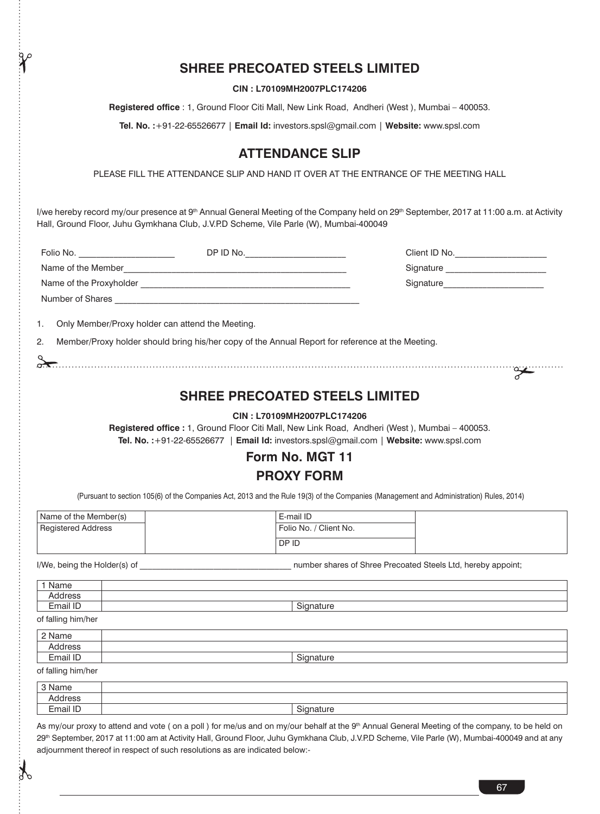## **SHREE PRECOATED STEELS LIMITED**

**CIN : L70109MH2007PLC174206**

**Registered office** : 1, Ground Floor Citi Mall, New Link Road, Andheri (West ), Mumbai – 400053.

**Tel. No. :**+91-22-65526677 | **Email Id:** investors.spsl@gmail.com | **Website:** www.spsl.com

## **ATTENDANCE SLIP**

PLEASE FILL THE ATTENDANCE SLIP AND HAND IT OVER AT THE ENTRANCE OF THE MEETING HALL

I/we hereby record my/our presence at 9<sup>th</sup> Annual General Meeting of the Company held on 29<sup>th</sup> September, 2017 at 11:00 a.m. at Activity Hall, Ground Floor, Juhu Gymkhana Club, J.V.P.D Scheme, Vile Parle (W), Mumbai-400049

| Folio No.                                        | DP ID No. | Client ID No. |  |
|--------------------------------------------------|-----------|---------------|--|
| Name of the Member                               |           | Signature     |  |
| Name of the Proxyholder                          |           | Signature     |  |
| Number of Shares                                 |           |               |  |
| Only Member/Proxy holder can attend the Meeting. |           |               |  |

2. Member/Proxy holder should bring his/her copy of the Annual Report for reference at the Meeting.

### **SHREE PRECOATED STEELS LIMITED**

### **CIN : L70109MH2007PLC174206**

**Registered office :** 1, Ground Floor Citi Mall, New Link Road, Andheri (West ), Mumbai – 400053. **Tel. No. :**+91-22-65526677 | **Email Id:** investors.spsl@gmail.com | **Website:** www.spsl.com

# **Form No. MGT 11 PROXY FORM**

(Pursuant to section 105(6) of the Companies Act, 2013 and the Rule 19(3) of the Companies (Management and Administration) Rules, 2014)

| Name of the Member(s) | E-mail ID              |  |
|-----------------------|------------------------|--|
| Registered Address    | Folio No. / Client No. |  |
|                       | DP ID                  |  |

I/We, being the Holder(s) of  $\blacksquare$  . The number shares of Shree Precoated Steels Ltd, hereby appoint;

| $1.7.77$ , being the Holder (9) of | Harriber brianco or ornice i recogned otocio Eta, hereby appoint, |
|------------------------------------|-------------------------------------------------------------------|
| 1 Name                             |                                                                   |
| Address                            |                                                                   |
| Email ID                           | Signature                                                         |
| of falling him/her                 |                                                                   |
| 2 Name                             |                                                                   |
|                                    |                                                                   |
| Address                            |                                                                   |
| Email ID                           | Signature                                                         |

| Email ID           | Signature |
|--------------------|-----------|
| of falling him/her |           |

 $\mathcal{F}$ 

3 Name Address Email ID | Signature | Signature | Signature | Signature | Signature | Signature | Signature | Signature | Signature | Signature | Signature | Signature | Signature | Signature | Signature | Signature | Signature | Signatu

As my/our proxy to attend and vote (on a poll) for me/us and on my/our behalf at the 9<sup>th</sup> Annual General Meeting of the company, to be held on 29<sup>th</sup> September, 2017 at 11:00 am at Activity Hall, Ground Floor, Juhu Gymkhana Club, J.V.P.D Scheme, Vile Parle (W), Mumbai-400049 and at any adjournment thereof in respect of such resolutions as are indicated below:-

67